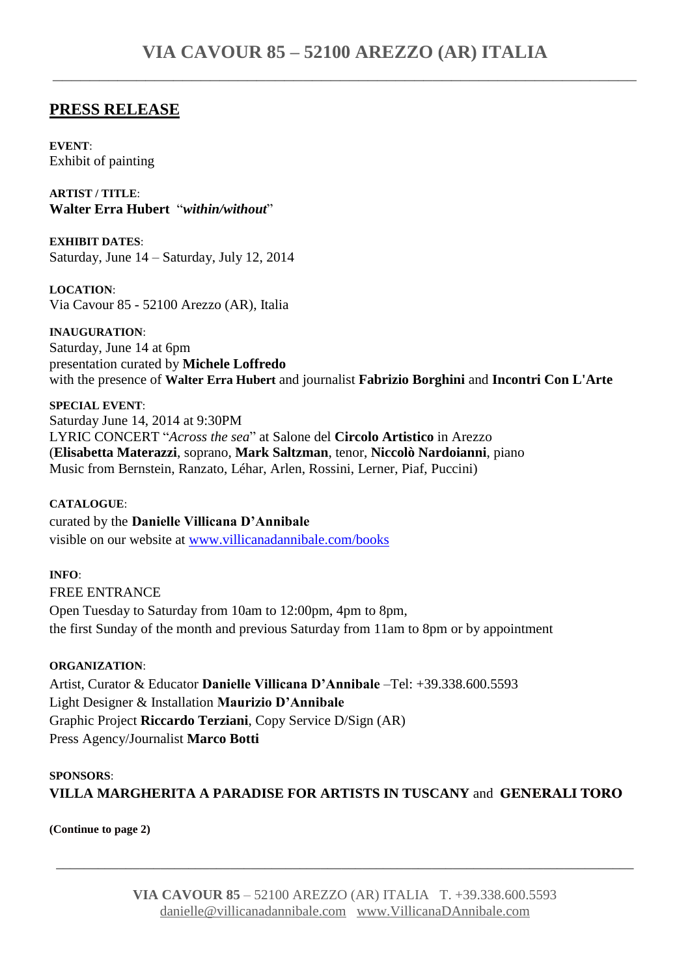### **PRESS RELEASE**

**EVENT**: Exhibit of painting

**ARTIST / TITLE**: **Walter Erra Hubert** "*within/without*"

**EXHIBIT DATES**: Saturday, June 14 – Saturday, July 12, 2014

**LOCATION**: Via Cavour 85 - 52100 Arezzo (AR), Italia

**INAUGURATION**: Saturday, June 14 at 6pm presentation curated by **Michele Loffredo**  with the presence of **Walter Erra Hubert** and journalist **Fabrizio Borghini** and **Incontri Con L'Arte**

**SPECIAL EVENT**: Saturday June 14, 2014 at 9:30PM LYRIC CONCERT "*Across the sea*" at Salone del **Circolo Artistico** in Arezzo (**Elisabetta Materazzi**, soprano, **Mark Saltzman**, tenor, **Niccolò Nardoianni**, piano Music from Bernstein, Ranzato, Léhar, Arlen, Rossini, Lerner, Piaf, Puccini)

**CATALOGUE**: curated by the **Danielle Villicana D'Annibale** visible on our website at [www.villicanadannibale.com/books](http://www.villicanadannibale.com/books)

**INFO**: FREE ENTRANCE Open Tuesday to Saturday from 10am to 12:00pm, 4pm to 8pm, the first Sunday of the month and previous Saturday from 11am to 8pm or by appointment

**ORGANIZATION**: Artist, Curator & Educator **Danielle Villicana D'Annibale** –Tel: +39.338.600.5593 Light Designer & Installation **Maurizio D'Annibale** Graphic Project **Riccardo Terziani**, Copy Service D/Sign (AR) Press Agency/Journalist **Marco Botti**

### **SPONSORS**: **VILLA MARGHERITA A PARADISE FOR ARTISTS IN TUSCANY** and **GENERALI TORO**

**(Continue to page 2)**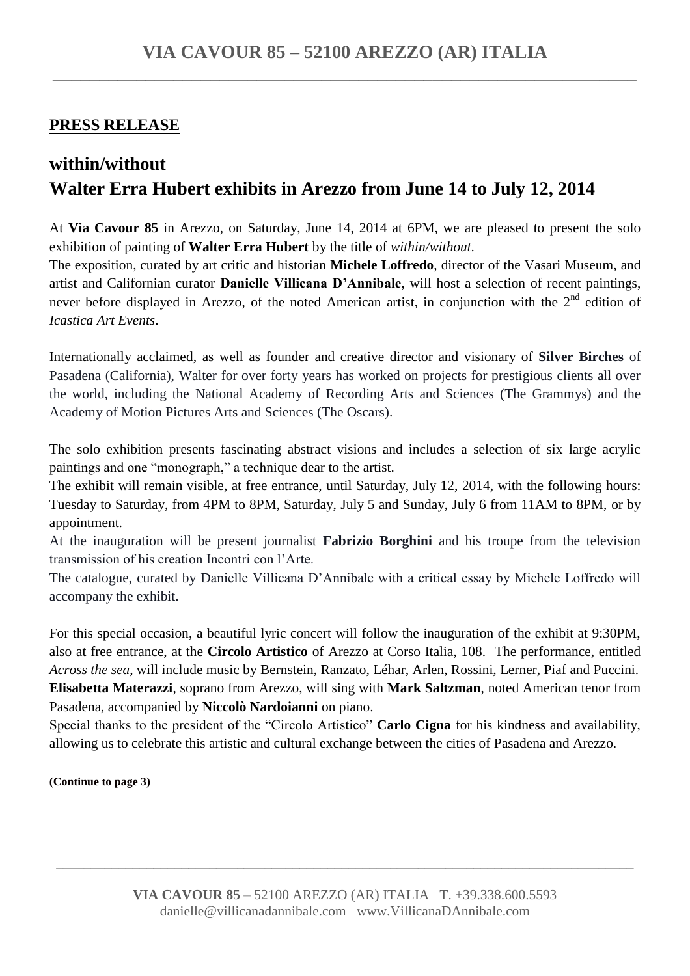## **PRESS RELEASE**

# **within/without Walter Erra Hubert exhibits in Arezzo from June 14 to July 12, 2014**

At **Via Cavour 85** in Arezzo, on Saturday, June 14, 2014 at 6PM, we are pleased to present the solo exhibition of painting of **Walter Erra Hubert** by the title of *within/without*.

The exposition, curated by art critic and historian **Michele Loffredo**, director of the Vasari Museum, and artist and Californian curator **Danielle Villicana D'Annibale**, will host a selection of recent paintings, never before displayed in Arezzo, of the noted American artist, in conjunction with the  $2<sup>nd</sup>$  edition of *Icastica Art Events*.

Internationally acclaimed, as well as founder and creative director and visionary of **Silver Birches** of Pasadena (California), Walter for over forty years has worked on projects for prestigious clients all over the world, including the National Academy of Recording Arts and Sciences (The Grammys) and the Academy of Motion Pictures Arts and Sciences (The Oscars).

The solo exhibition presents fascinating abstract visions and includes a selection of six large acrylic paintings and one "monograph," a technique dear to the artist.

The exhibit will remain visible, at free entrance, until Saturday, July 12, 2014, with the following hours: Tuesday to Saturday, from 4PM to 8PM, Saturday, July 5 and Sunday, July 6 from 11AM to 8PM, or by appointment.

At the inauguration will be present journalist **Fabrizio Borghini** and his troupe from the television transmission of his creation Incontri con l'Arte.

The catalogue, curated by Danielle Villicana D'Annibale with a critical essay by Michele Loffredo will accompany the exhibit.

For this special occasion, a beautiful lyric concert will follow the inauguration of the exhibit at 9:30PM, also at free entrance, at the **Circolo Artistico** of Arezzo at Corso Italia, 108. The performance, entitled *Across the sea*, will include music by Bernstein, Ranzato, Léhar, Arlen, Rossini, Lerner, Piaf and Puccini. **Elisabetta Materazzi**, soprano from Arezzo, will sing with **Mark Saltzman**, noted American tenor from Pasadena, accompanied by **Niccolò Nardoianni** on piano.

Special thanks to the president of the "Circolo Artistico" **Carlo Cigna** for his kindness and availability, allowing us to celebrate this artistic and cultural exchange between the cities of Pasadena and Arezzo.

**(Continue to page 3)**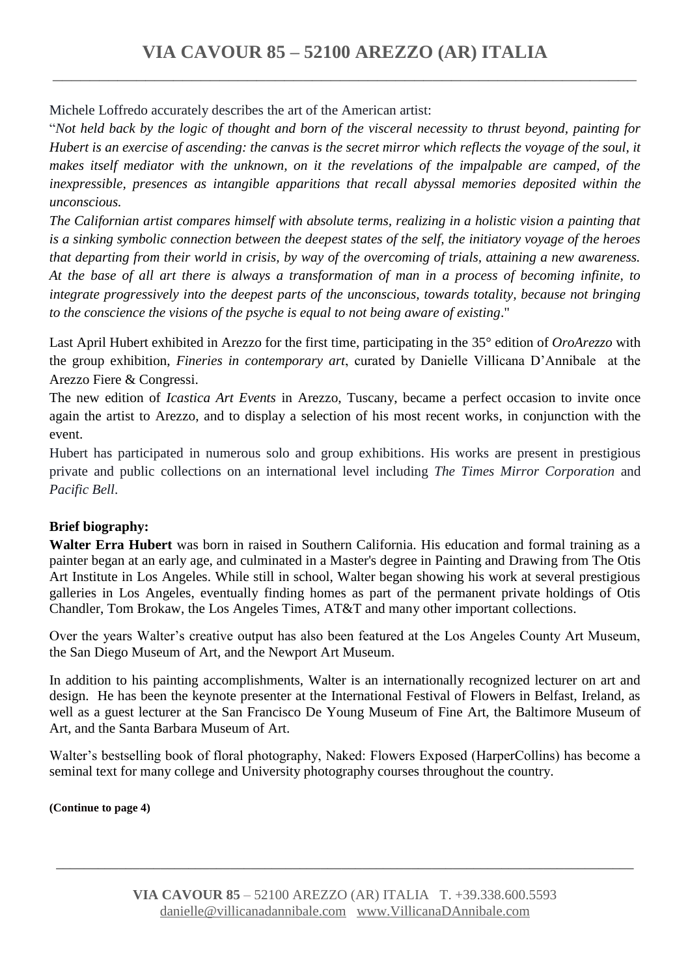Michele Loffredo accurately describes the art of the American artist:

"*Not held back by the logic of thought and born of the visceral necessity to thrust beyond, painting for Hubert is an exercise of ascending: the canvas is the secret mirror which reflects the voyage of the soul, it makes itself mediator with the unknown, on it the revelations of the impalpable are camped, of the inexpressible, presences as intangible apparitions that recall abyssal memories deposited within the unconscious.*

*The Californian artist compares himself with absolute terms, realizing in a holistic vision a painting that is a sinking symbolic connection between the deepest states of the self, the initiatory voyage of the heroes that departing from their world in crisis, by way of the overcoming of trials, attaining a new awareness. At the base of all art there is always a transformation of man in a process of becoming infinite, to integrate progressively into the deepest parts of the unconscious, towards totality, because not bringing to the conscience the visions of the psyche is equal to not being aware of existing*."

Last April Hubert exhibited in Arezzo for the first time, participating in the 35° edition of *OroArezzo* with the group exhibition, *Fineries in contemporary art*, curated by Danielle Villicana D'Annibale at the Arezzo Fiere & Congressi.

The new edition of *Icastica Art Events* in Arezzo, Tuscany, became a perfect occasion to invite once again the artist to Arezzo, and to display a selection of his most recent works, in conjunction with the event.

Hubert has participated in numerous solo and group exhibitions. His works are present in prestigious private and public collections on an international level including *The Times Mirror Corporation* and *Pacific Bell*.

#### **Brief biography:**

**Walter Erra Hubert** was born in raised in Southern California. His education and formal training as a painter began at an early age, and culminated in a Master's degree in Painting and Drawing from The Otis Art Institute in Los Angeles. While still in school, Walter began showing his work at several prestigious galleries in Los Angeles, eventually finding homes as part of the permanent private holdings of Otis Chandler, Tom Brokaw, the Los Angeles Times, AT&T and many other important collections.

Over the years Walter's creative output has also been featured at the Los Angeles County Art Museum, the San Diego Museum of Art, and the Newport Art Museum.

In addition to his painting accomplishments, Walter is an internationally recognized lecturer on art and design. He has been the keynote presenter at the International Festival of Flowers in Belfast, Ireland, as well as a guest lecturer at the San Francisco De Young Museum of Fine Art, the Baltimore Museum of Art, and the Santa Barbara Museum of Art.

Walter's bestselling book of floral photography, Naked: Flowers Exposed (HarperCollins) has become a seminal text for many college and University photography courses throughout the country.

**(Continue to page 4)**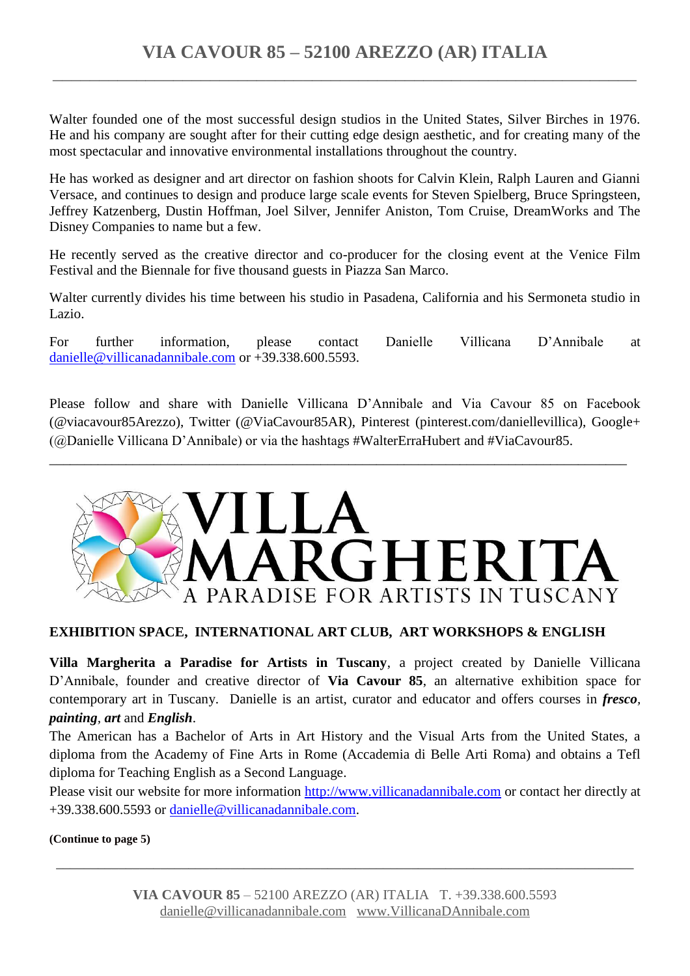Walter founded one of the most successful design studios in the United States, Silver Birches in 1976. He and his company are sought after for their cutting edge design aesthetic, and for creating many of the most spectacular and innovative environmental installations throughout the country.

He has worked as designer and art director on fashion shoots for Calvin Klein, Ralph Lauren and Gianni Versace, and continues to design and produce large scale events for Steven Spielberg, Bruce Springsteen, Jeffrey Katzenberg, Dustin Hoffman, Joel Silver, Jennifer Aniston, Tom Cruise, DreamWorks and The Disney Companies to name but a few.

He recently served as the creative director and co-producer for the closing event at the Venice Film Festival and the Biennale for five thousand guests in Piazza San Marco.

Walter currently divides his time between his studio in Pasadena, California and his Sermoneta studio in Lazio.

For further information, please contact Danielle Villicana D'Annibale at [danielle@villicanadannibale.com](mailto:danielle@villicanadannibale.com) or +39.338.600.5593.

Please follow and share with Danielle Villicana D'Annibale and Via Cavour 85 on Facebook (@viacavour85Arezzo), Twitter (@ViaCavour85AR), Pinterest (pinterest.com/daniellevillica), Google+ (@Danielle Villicana D'Annibale) or via the hashtags #WalterErraHubert and #ViaCavour85.

\_\_\_\_\_\_\_\_\_\_\_\_\_\_\_\_\_\_\_\_\_\_\_\_\_\_\_\_\_\_\_\_\_\_\_\_\_\_\_\_\_\_\_\_\_\_\_\_\_\_\_\_\_\_\_\_\_\_\_\_\_\_\_\_\_\_\_\_\_\_\_\_\_\_\_\_\_\_\_\_\_\_\_



#### **EXHIBITION SPACE, INTERNATIONAL ART CLUB, ART WORKSHOPS & ENGLISH**

**Villa Margherita a Paradise for Artists in Tuscany**, a project created by Danielle Villicana D'Annibale, founder and creative director of **Via Cavour 85**, an alternative exhibition space for contemporary art in Tuscany. Danielle is an artist, curator and educator and offers courses in *fresco, painting, art* and *English*.

The American has a Bachelor of Arts in Art History and the Visual Arts from the United States, a diploma from the Academy of Fine Arts in Rome (Accademia di Belle Arti Roma) and obtains a Tefl diploma for Teaching English as a Second Language.

Please visit our website for more information [http://www.villicanadannibale.com](http://www.villicanadannibale.com/) or contact her directly at +39.338.600.5593 or [danielle@villicanadannibale.com.](mailto:danielle@villicanadannibale.com)

**(Continue to page 5)**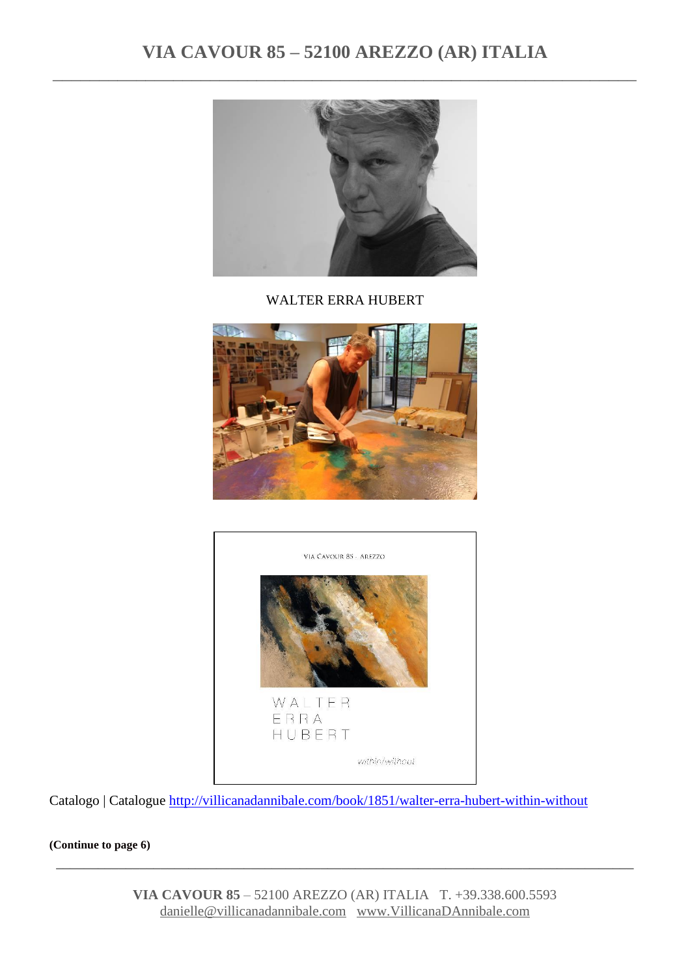# **VIA CAVOUR 85 – 52100 AREZZO (AR) ITALIA** \_\_\_\_\_\_\_\_\_\_\_\_\_\_\_\_\_\_\_\_\_\_\_\_\_\_\_\_\_\_\_\_\_\_\_\_\_\_\_\_\_\_\_\_\_\_\_\_\_\_\_\_\_\_\_\_\_\_\_\_\_\_\_



WALTER ERRA HUBERT





Catalogo | Catalogue<http://villicanadannibale.com/book/1851/walter-erra-hubert-within-without>

**(Continue to page 6)** 

**VIA CAVOUR 85** – 52100 AREZZO (AR) ITALIA T. +39.338.600.5593 [danielle@villicanadannibale.com](mailto:danielle@villicanadannibale.com) [www.VillicanaDAnnibale.com](http://www.villicanadannibale.com/)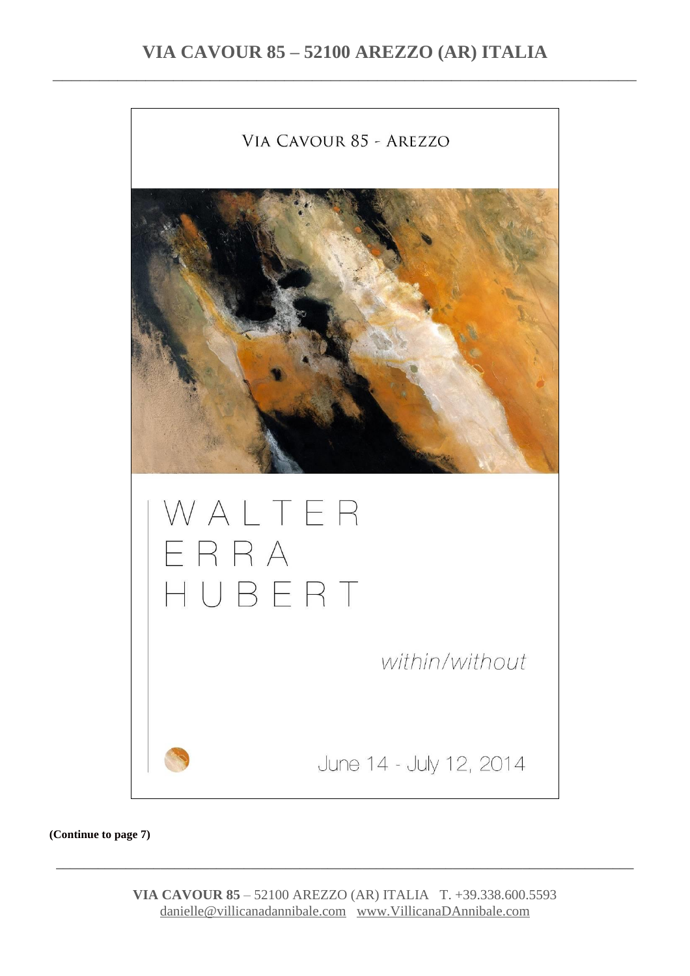

**(Continue to page 7)**